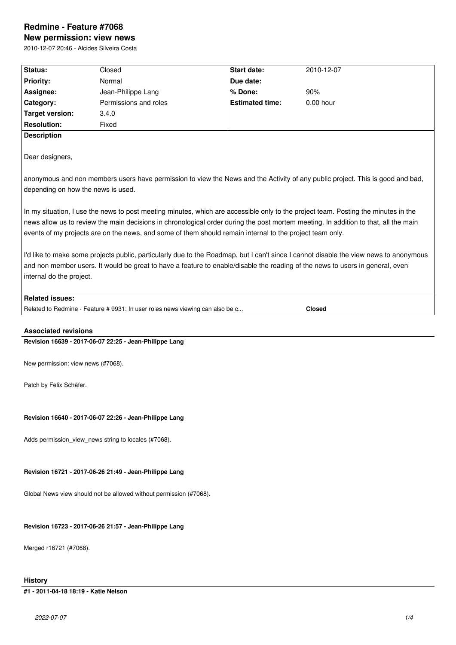# **Redmine - Feature #7068**

**New permission: view news** 2010-12-07 20:46 - Alcides Silveira Costa

| Status:                            | Closed                                                                                                   | Start date:            | 2010-12-07                                                                                                                                                                                                                                                                |
|------------------------------------|----------------------------------------------------------------------------------------------------------|------------------------|---------------------------------------------------------------------------------------------------------------------------------------------------------------------------------------------------------------------------------------------------------------------------|
| <b>Priority:</b>                   | Normal                                                                                                   | Due date:              |                                                                                                                                                                                                                                                                           |
| Assignee:                          | Jean-Philippe Lang                                                                                       | % Done:                | 90%                                                                                                                                                                                                                                                                       |
| Category:                          | Permissions and roles                                                                                    | <b>Estimated time:</b> | 0.00 hour                                                                                                                                                                                                                                                                 |
| <b>Target version:</b>             | 3.4.0                                                                                                    |                        |                                                                                                                                                                                                                                                                           |
| <b>Resolution:</b>                 | Fixed                                                                                                    |                        |                                                                                                                                                                                                                                                                           |
| <b>Description</b>                 |                                                                                                          |                        |                                                                                                                                                                                                                                                                           |
| Dear designers,                    |                                                                                                          |                        |                                                                                                                                                                                                                                                                           |
|                                    |                                                                                                          |                        | anonymous and non members users have permission to view the News and the Activity of any public project. This is good and bad,                                                                                                                                            |
| depending on how the news is used. |                                                                                                          |                        |                                                                                                                                                                                                                                                                           |
|                                    | events of my projects are on the news, and some of them should remain internal to the project team only. |                        | In my situation, I use the news to post meeting minutes, which are accessible only to the project team. Posting the minutes in the<br>news allow us to review the main decisions in chronological order during the post mortem meeting. In addition to that, all the main |
|                                    |                                                                                                          |                        | I'd like to make some projects public, particularly due to the Roadmap, but I can't since I cannot disable the view news to anonymous                                                                                                                                     |
|                                    |                                                                                                          |                        | and non member users. It would be great to have a feature to enable/disable the reading of the news to users in general, even                                                                                                                                             |
| internal do the project.           |                                                                                                          |                        |                                                                                                                                                                                                                                                                           |
|                                    |                                                                                                          |                        |                                                                                                                                                                                                                                                                           |
| <b>Related issues:</b>             |                                                                                                          |                        |                                                                                                                                                                                                                                                                           |
|                                    | Related to Redmine - Feature # 9931: In user roles news viewing can also be c                            |                        | <b>Closed</b>                                                                                                                                                                                                                                                             |
| <b>Associated revisions</b>        |                                                                                                          |                        |                                                                                                                                                                                                                                                                           |
|                                    | Revision 16639 - 2017-06-07 22:25 - Jean-Philippe Lang                                                   |                        |                                                                                                                                                                                                                                                                           |
| New permission: view news (#7068). |                                                                                                          |                        |                                                                                                                                                                                                                                                                           |
| Patch by Felix Schäfer.            |                                                                                                          |                        |                                                                                                                                                                                                                                                                           |
|                                    |                                                                                                          |                        |                                                                                                                                                                                                                                                                           |
|                                    | Revision 16640 - 2017-06-07 22:26 - Jean-Philippe Lang                                                   |                        |                                                                                                                                                                                                                                                                           |
|                                    | Adds permission_view_news string to locales (#7068).                                                     |                        |                                                                                                                                                                                                                                                                           |
|                                    |                                                                                                          |                        |                                                                                                                                                                                                                                                                           |
|                                    | Revision 16721 - 2017-06-26 21:49 - Jean-Philippe Lang                                                   |                        |                                                                                                                                                                                                                                                                           |
|                                    |                                                                                                          |                        |                                                                                                                                                                                                                                                                           |
|                                    | Global News view should not be allowed without permission (#7068).                                       |                        |                                                                                                                                                                                                                                                                           |
|                                    |                                                                                                          |                        |                                                                                                                                                                                                                                                                           |
|                                    | Revision 16723 - 2017-06-26 21:57 - Jean-Philippe Lang                                                   |                        |                                                                                                                                                                                                                                                                           |
|                                    |                                                                                                          |                        |                                                                                                                                                                                                                                                                           |
| Merged r16721 (#7068).             |                                                                                                          |                        |                                                                                                                                                                                                                                                                           |

**History**

**#1 - 2011-04-18 18:19 - Katie Nelson**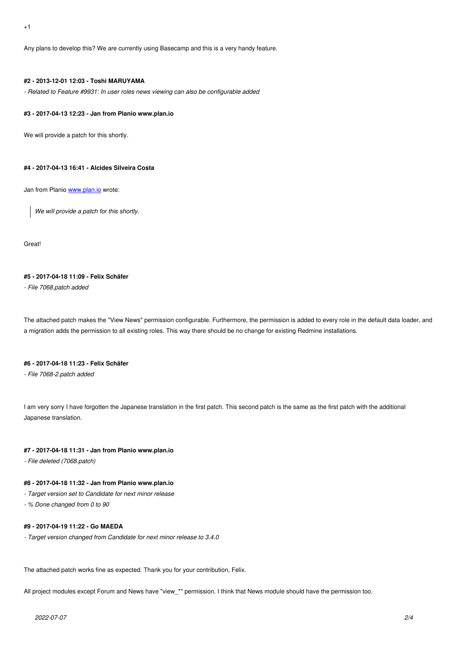Any plans to develop this? We are currently using Basecamp and this is a very handy feature.

### **#2 - 2013-12-01 12:03 - Toshi MARUYAMA**

*- Related to Feature #9931: In user roles news viewing can also be configurable added*

#### **#3 - 2017-04-13 12:23 - Jan from Planio www.plan.io**

We will provide a patch for this shortly.

#### **#4 - 2017-04-13 16:41 - Alcides Silveira Costa**

Jan from Planio www.plan.io wrote:

*We will provide a patch for this shortly.*

Great!

#### **#5 - 2017-04-18 11:09 - Felix Schäfer**

*- File 7068.patch added*

The attached patch makes the "View News" permission configurable. Furthermore, the permission is added to every role in the default data loader, and a migration adds the permission to all existing roles. This way there should be no change for existing Redmine installations.

#### **#6 - 2017-04-18 11:23 - Felix Schäfer**

*- File 7068-2.patch added*

I am very sorry I have forgotten the Japanese translation in the first patch. This second patch is the same as the first patch with the additional Japanese translation.

#### **#7 - 2017-04-18 11:31 - Jan from Planio www.plan.io**

*- File deleted (7068.patch)*

#### **#8 - 2017-04-18 11:32 - Jan from Planio www.plan.io**

- *Target version set to Candidate for next minor release*
- *% Done changed from 0 to 90*

#### **#9 - 2017-04-19 11:22 - Go MAEDA**

*- Target version changed from Candidate for next minor release to 3.4.0*

The attached patch works fine as expected. Thank you for your contribution, Felix.

All project modules except Forum and News have "view\_\*" permission. I think that News module should have the permission too.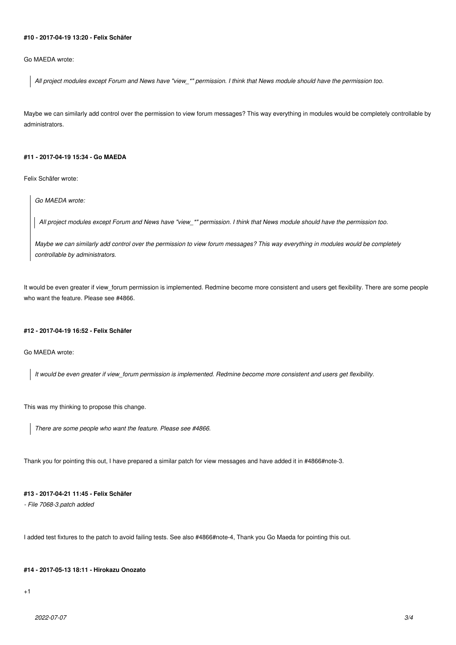## **#10 - 2017-04-19 13:20 - Felix Schäfer**

Go MAEDA wrote:

*All project modules except Forum and News have "view\_\*" permission. I think that News module should have the permission too.*

Maybe we can similarly add control over the permission to view forum messages? This way everything in modules would be completely controllable by administrators.

#### **#11 - 2017-04-19 15:34 - Go MAEDA**

Felix Schäfer wrote:

*Go MAEDA wrote:*

*All project modules except Forum and News have "view\_\*" permission. I think that News module should have the permission too.*

*Maybe we can similarly add control over the permission to view forum messages? This way everything in modules would be completely controllable by administrators.*

It would be even greater if view\_forum permission is implemented. Redmine become more consistent and users get flexibility. There are some people who want the feature. Please see #4866.

#### **#12 - 2017-04-19 16:52 - Felix Schäfer**

Go MAEDA wrote:

*It would be even greater if view\_forum permission is implemented. Redmine become more consistent and users get flexibility.*

This was my thinking to propose this change.

*There are some people who want the feature. Please see #4866.*

Thank you for pointing this out, I have prepared a similar patch for view messages and have added it in #4866#note-3.

# **#13 - 2017-04-21 11:45 - Felix Schäfer**

*- File 7068-3.patch added*

I added test fixtures to the patch to avoid failing tests. See also #4866#note-4, Thank you Go Maeda for pointing this out.

#### **#14 - 2017-05-13 18:11 - Hirokazu Onozato**

 $+1$